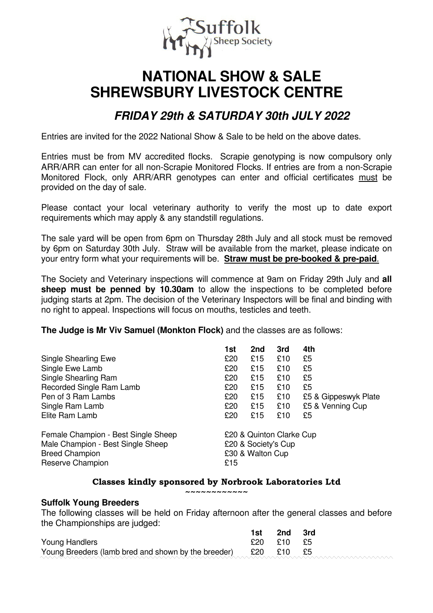

# **NATIONAL SHOW & SALE SHREWSBURY LIVESTOCK CENTRE**

## **FRIDAY 29th & SATURDAY 30th JULY 2022**

Entries are invited for the 2022 National Show & Sale to be held on the above dates.

Entries must be from MV accredited flocks. Scrapie genotyping is now compulsory only ARR/ARR can enter for all non-Scrapie Monitored Flocks. If entries are from a non-Scrapie Monitored Flock, only ARR/ARR genotypes can enter and official certificates must be provided on the day of sale.

Please contact your local veterinary authority to verify the most up to date export requirements which may apply & any standstill regulations.

The sale yard will be open from 6pm on Thursday 28th July and all stock must be removed by 6pm on Saturday 30th July. Straw will be available from the market, please indicate on your entry form what your requirements will be. **Straw must be pre-booked & pre-paid**.

The Society and Veterinary inspections will commence at 9am on Friday 29th July and **all sheep must be penned by 10.30am** to allow the inspections to be completed before judging starts at 2pm. The decision of the Veterinary Inspectors will be final and binding with no right to appeal. Inspections will focus on mouths, testicles and teeth.

**The Judge is Mr Viv Samuel (Monkton Flock)** and the classes are as follows:

|                                                                                                                       | 1st                                                                        | 2nd | 3rd | 4th                  |
|-----------------------------------------------------------------------------------------------------------------------|----------------------------------------------------------------------------|-----|-----|----------------------|
| <b>Single Shearling Ewe</b>                                                                                           | £20                                                                        | £15 | £10 | £5                   |
| Single Ewe Lamb                                                                                                       | £20                                                                        | £15 | £10 | £5                   |
| Single Shearling Ram                                                                                                  | £20                                                                        | £15 | £10 | £5                   |
| Recorded Single Ram Lamb                                                                                              | £20                                                                        | £15 | £10 | £5                   |
| Pen of 3 Ram Lambs                                                                                                    | £20                                                                        | £15 | £10 | £5 & Gippeswyk Plate |
| Single Ram Lamb                                                                                                       | £20                                                                        | £15 | £10 | £5 & Venning Cup     |
| Elite Ram Lamb                                                                                                        | £20                                                                        | £15 | £10 | £5                   |
| Female Champion - Best Single Sheep<br>Male Champion - Best Single Sheep<br><b>Breed Champion</b><br>Reserve Champion | £20 & Quinton Clarke Cup<br>£20 & Society's Cup<br>£30 & Walton Cup<br>£15 |     |     |                      |

#### **Classes kindly sponsored by Norbrook Laboratories Ltd**

**~~~~~~~~~~~~** 

#### **Suffolk Young Breeders**

The following classes will be held on Friday afternoon after the general classes and before the Championships are judged:

|                                                     | 1st     | 2nd        | 3rd |
|-----------------------------------------------------|---------|------------|-----|
| Young Handlers                                      |         | £20 £10 £5 |     |
| Young Breeders (lamb bred and shown by the breeder) | £20 £10 |            |     |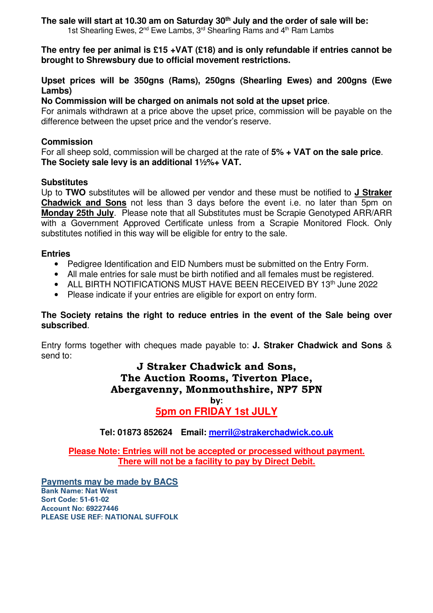#### **The sale will start at 10.30 am on Saturday 30th July and the order of sale will be:**  1st Shearling Ewes,  $2^{nd}$  Ewe Lambs,  $3^{rd}$  Shearling Rams and  $4^{th}$  Ram Lambs

**The entry fee per animal is £15 +VAT (£18) and is only refundable if entries cannot be brought to Shrewsbury due to official movement restrictions.** 

#### **Upset prices will be 350gns (Rams), 250gns (Shearling Ewes) and 200gns (Ewe Lambs)**

#### **No Commission will be charged on animals not sold at the upset price**.

For animals withdrawn at a price above the upset price, commission will be payable on the difference between the upset price and the vendor's reserve.

#### **Commission**

For all sheep sold, commission will be charged at the rate of **5% + VAT on the sale price**. **The Society sale levy is an additional 1½%+ VAT.** 

#### **Substitutes**

Up to **TWO** substitutes will be allowed per vendor and these must be notified to **J Straker Chadwick and Sons** not less than 3 days before the event i.e. no later than 5pm on **Monday 25th July**. Please note that all Substitutes must be Scrapie Genotyped ARR/ARR with a Government Approved Certificate unless from a Scrapie Monitored Flock. Only substitutes notified in this way will be eligible for entry to the sale.

#### **Entries**

- Pedigree Identification and EID Numbers must be submitted on the Entry Form.
- All male entries for sale must be birth notified and all females must be registered.
- $\bullet$  ALL BIRTH NOTIFICATIONS MUST HAVE BEEN RECEIVED BY 13<sup>th</sup> June 2022
- Please indicate if your entries are eligible for export on entry form.

#### **The Society retains the right to reduce entries in the event of the Sale being over subscribed**.

Entry forms together with cheques made payable to: **J. Straker Chadwick and Sons** & send to:

#### **J Straker Chadwick and Sons, The Auction Rooms, Tiverton Place, Abergavenny, Monmouthshire, NP7 5PN by:**

### **5pm on FRIDAY 1st JULY**

**Tel: 01873 852624 Email: merril@strakerchadwick.co.uk**

**Please Note: Entries will not be accepted or processed without payment. There will not be a facility to pay by Direct Debit.** 

**Payments may be made by BACS Bank Name: Nat West Sort Code: 51-61-02 Account No: 69227446 PLEASE USE REF: NATIONAL SUFFOLK**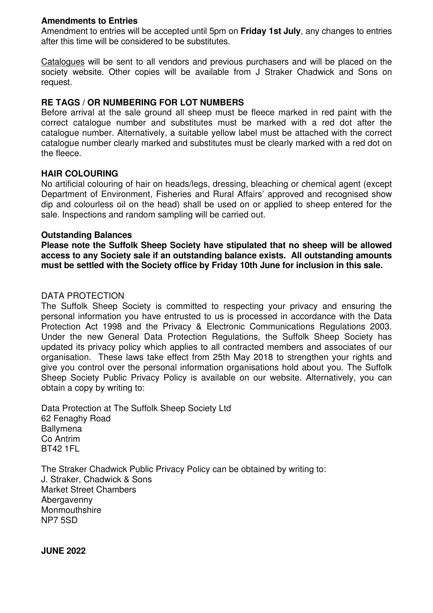#### **Amendments to Entries**

Amendment to entries will be accepted until 5pm on **Friday 1st July**, any changes to entries after this time will be considered to be substitutes.

Catalogues will be sent to all vendors and previous purchasers and will be placed on the society website. Other copies will be available from J Straker Chadwick and Sons on request.

#### **RE TAGS / OR NUMBERING FOR LOT NUMBERS**

Before arrival at the sale ground all sheep must be fleece marked in red paint with the correct catalogue number and substitutes must be marked with a red dot after the catalogue number. Alternatively, a suitable yellow label must be attached with the correct catalogue number clearly marked and substitutes must be clearly marked with a red dot on the fleece.

#### **HAIR COLOURING**

No artificial colouring of hair on heads/legs, dressing, bleaching or chemical agent (except Department of Environment, Fisheries and Rural Affairs' approved and recognised show dip and colourless oil on the head) shall be used on or applied to sheep entered for the sale. Inspections and random sampling will be carried out.

#### **Outstanding Balances**

**Please note the Suffolk Sheep Society have stipulated that no sheep will be allowed access to any Society sale if an outstanding balance exists. All outstanding amounts must be settled with the Society office by Friday 10th June for inclusion in this sale.** 

#### DATA PROTECTION

The Suffolk Sheep Society is committed to respecting your privacy and ensuring the personal information you have entrusted to us is processed in accordance with the Data Protection Act 1998 and the Privacy & Electronic Communications Regulations 2003. Under the new General Data Protection Regulations, the Suffolk Sheep Society has updated its privacy policy which applies to all contracted members and associates of our organisation. These laws take effect from 25th May 2018 to strengthen your rights and give you control over the personal information organisations hold about you. The Suffolk Sheep Society Public Privacy Policy is available on our website. Alternatively, you can obtain a copy by writing to:

Data Protection at The Suffolk Sheep Society Ltd 62 Fenaghy Road **Ballymena** Co Antrim BT42 1FL

The Straker Chadwick Public Privacy Policy can be obtained by writing to: J. Straker, Chadwick & Sons Market Street Chambers **Abergavenny Monmouthshire** NP7 5SD

**JUNE 2022**